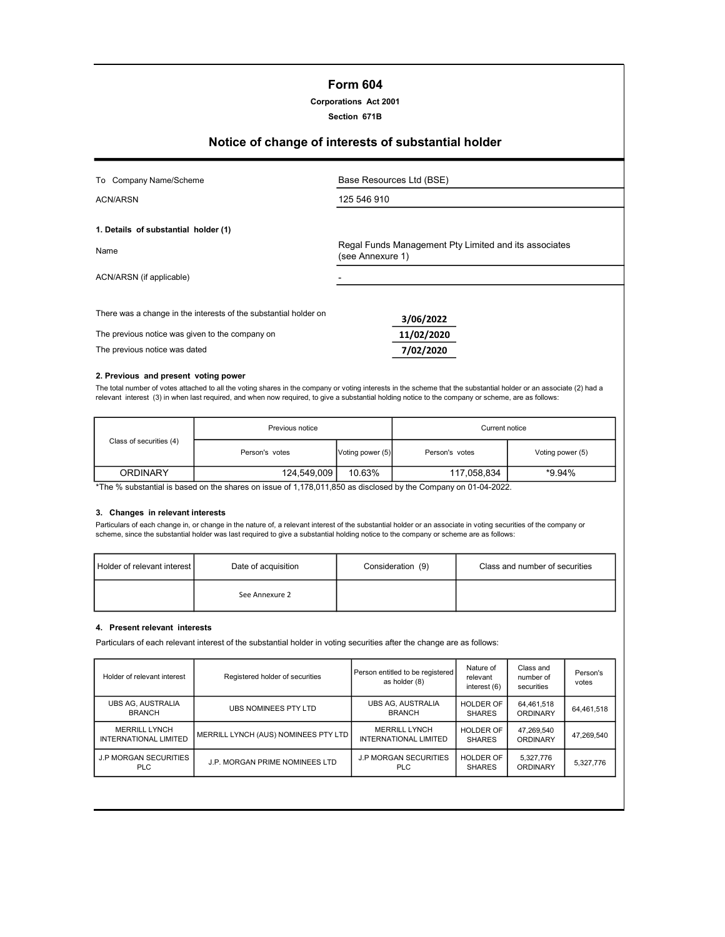# Form 604

| <b>Corporations Act 2001</b> |  |
|------------------------------|--|
|                              |  |

Section 671B

# Notice of change of interests of substantial holder

| Company Name/Scheme<br>To                                        | Base Resources Ltd (BSE)                                                  |  |  |
|------------------------------------------------------------------|---------------------------------------------------------------------------|--|--|
| ACN/ARSN                                                         | 125 546 910                                                               |  |  |
| 1. Details of substantial holder (1)                             |                                                                           |  |  |
| Name                                                             | Regal Funds Management Pty Limited and its associates<br>(see Annexure 1) |  |  |
| ACN/ARSN (if applicable)                                         |                                                                           |  |  |
| There was a change in the interests of the substantial holder on | 3/06/2022                                                                 |  |  |
| The previous notice was given to the company on                  | 11/02/2020                                                                |  |  |
| The previous notice was dated                                    | 7/02/2020                                                                 |  |  |

# 2. Previous and present voting power

The total number of votes attached to all the voting shares in the company or voting interests in the scheme that the substantial holder or an associate (2) had a<br>relevant interest (3) in when last required, and when now

|                         | Previous notice |                  | Current notice                     |  |  |
|-------------------------|-----------------|------------------|------------------------------------|--|--|
| Class of securities (4) | Person's votes  | Voting power (5) | Voting power (5)<br>Person's votes |  |  |
| <b>ORDINARY</b>         | 124,549,009     | 10.63%           | $*9.94\%$<br>117,058,834           |  |  |

The % substantial is based on the shares on issue of 1,178,011,850 as disclosed by the Company on 01-04-2022.

#### 3. Changes in relevant interests

Particulars of each change in, or change in the nature of, a relevant interest of the substantial holder or an associate in voting securities of the company or scheme, since the substantial holder was last required to give a substantial holding notice to the company or scheme are as follows:

| Holder of relevant interest I | Date of acquisition | Consideration (9) | Class and number of securities |  |
|-------------------------------|---------------------|-------------------|--------------------------------|--|
|                               | See Annexure 2      |                   |                                |  |

#### 4. Present relevant interests

Particulars of each relevant interest of the substantial holder in voting securities after the change are as follows:

| Holder of relevant interest                   | Registered holder of securities      | Person entitled to be registered<br>as holder (8) | Nature of<br>relevant<br>interest (6) | Class and<br>number of<br>securities | Person's<br>votes |
|-----------------------------------------------|--------------------------------------|---------------------------------------------------|---------------------------------------|--------------------------------------|-------------------|
| UBS AG, AUSTRALIA<br><b>BRANCH</b>            | UBS NOMINEES PTY LTD                 | UBS AG, AUSTRALIA<br><b>BRANCH</b>                | <b>HOLDER OF</b><br><b>SHARES</b>     | 64,461,518<br><b>ORDINARY</b>        | 64,461,518        |
| <b>MERRILL LYNCH</b><br>INTERNATIONAL LIMITED | MERRILL LYNCH (AUS) NOMINEES PTY LTD | <b>MERRILL LYNCH</b><br>INTERNATIONAL LIMITED     | <b>HOLDER OF</b><br><b>SHARES</b>     | 47,269,540<br><b>ORDINARY</b>        | 47,269,540        |
| <b>J.P MORGAN SECURITIES</b><br><b>PLC</b>    | J.P. MORGAN PRIME NOMINEES LTD       | <b>J.P MORGAN SECURITIES</b><br>PLC.              | <b>HOLDER OF</b><br><b>SHARES</b>     | 5,327,776<br><b>ORDINARY</b>         | 5,327,776         |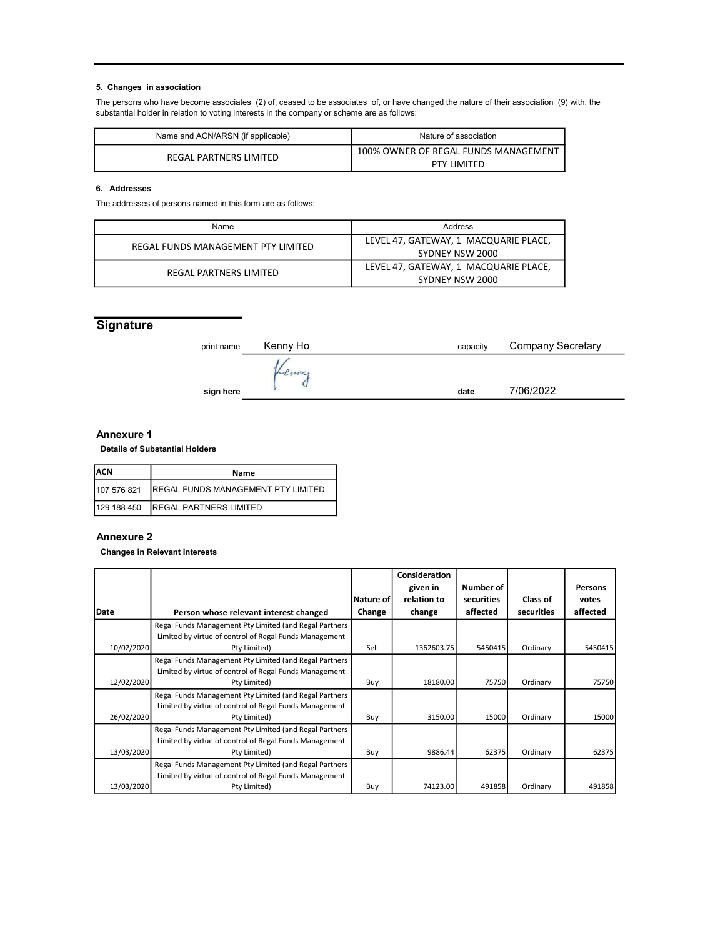#### 5. Changes in association

The persons who have become associates (2) of, ceased to be associates of, or have changed the nature of their association (9) with, the substantial holder in relation to voting interests in the company or scheme are as follows:

| Name and ACN/ARSN (if applicable) | Nature of association                |
|-----------------------------------|--------------------------------------|
| REGAL PARTNERS LIMITED            | 100% OWNER OF REGAL FUNDS MANAGEMENT |
|                                   | <b>PTY LIMITED</b>                   |

## 6. Addresses

The addresses of persons named in this form are as follows:

| Name                               | Address                               |  |  |
|------------------------------------|---------------------------------------|--|--|
| REGAL FUNDS MANAGEMENT PTY LIMITED | LEVEL 47, GATEWAY, 1 MACQUARIE PLACE, |  |  |
|                                    | SYDNEY NSW 2000                       |  |  |
| REGAL PARTNERS LIMITED             | LEVEL 47, GATEWAY, 1 MACQUARIE PLACE, |  |  |
|                                    | SYDNEY NSW 2000                       |  |  |

# **Signature**

| print name | Kenny Ho | capacity | <b>Company Secretary</b> |
|------------|----------|----------|--------------------------|
|            |          |          |                          |
|            |          |          |                          |
| sign here  |          | date     | 7/06/2022                |

## Annexure 1

Details of Substantial Holders

| <b>IACN</b> | Name                                           |
|-------------|------------------------------------------------|
|             | 107 576 821 REGAL FUNDS MANAGEMENT PTY LIMITED |
|             | 129 188 450 REGAL PARTNERS LIMITED             |

### Annexure 2

### Changes in Relevant Interests

|            |                                                        |           | Consideration |            |            |          |
|------------|--------------------------------------------------------|-----------|---------------|------------|------------|----------|
|            |                                                        |           | given in      | Number of  |            | Persons  |
|            |                                                        | Nature of | relation to   | securities | Class of   | votes    |
| Date       | Person whose relevant interest changed                 | Change    | change        | affected   | securities | affected |
|            | Regal Funds Management Pty Limited (and Regal Partners |           |               |            |            |          |
|            | Limited by virtue of control of Regal Funds Management |           |               |            |            |          |
| 10/02/2020 | Pty Limited)                                           | Sell      | 1362603.75    | 5450415    | Ordinary   | 5450415  |
|            | Regal Funds Management Pty Limited (and Regal Partners |           |               |            |            |          |
|            | Limited by virtue of control of Regal Funds Management |           |               |            |            |          |
| 12/02/2020 | Pty Limited)                                           | Buy       | 18180.00      | 75750      | Ordinary   | 75750    |
|            | Regal Funds Management Pty Limited (and Regal Partners |           |               |            |            |          |
|            | Limited by virtue of control of Regal Funds Management |           |               |            |            |          |
| 26/02/2020 | Pty Limited)                                           | Buy       | 3150.00       | 15000      | Ordinary   | 15000    |
|            | Regal Funds Management Pty Limited (and Regal Partners |           |               |            |            |          |
|            | Limited by virtue of control of Regal Funds Management |           |               |            |            |          |
| 13/03/2020 | Pty Limited)                                           | Buy       | 9886.44       | 62375      | Ordinary   | 62375    |
|            | Regal Funds Management Pty Limited (and Regal Partners |           |               |            |            |          |
|            | Limited by virtue of control of Regal Funds Management |           |               |            |            |          |
| 13/03/2020 | Pty Limited)                                           | Buy       | 74123.00      | 491858     | Ordinary   | 491858   |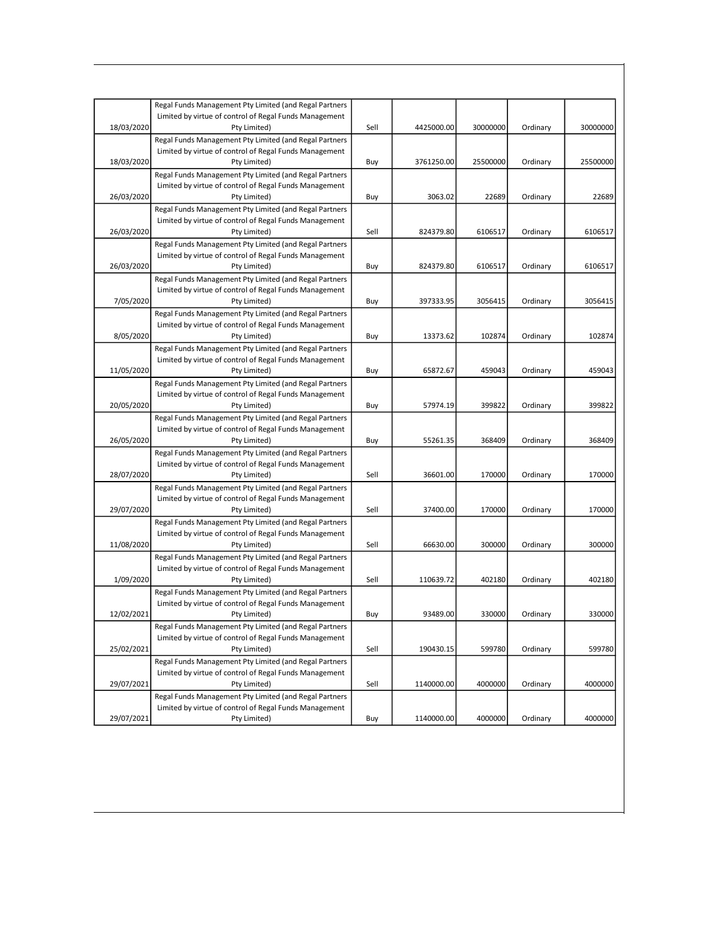|            | Regal Funds Management Pty Limited (and Regal Partners                                                           |      |            |          |          |          |
|------------|------------------------------------------------------------------------------------------------------------------|------|------------|----------|----------|----------|
|            | Limited by virtue of control of Regal Funds Management                                                           |      |            |          |          |          |
| 18/03/2020 | Pty Limited)                                                                                                     | Sell | 4425000.00 | 30000000 | Ordinary | 30000000 |
|            | Regal Funds Management Pty Limited (and Regal Partners                                                           |      |            |          |          |          |
| 18/03/2020 | Limited by virtue of control of Regal Funds Management<br>Pty Limited)                                           | Buy  | 3761250.00 | 25500000 | Ordinary | 25500000 |
|            | Regal Funds Management Pty Limited (and Regal Partners                                                           |      |            |          |          |          |
|            | Limited by virtue of control of Regal Funds Management                                                           |      |            |          |          |          |
| 26/03/2020 | Pty Limited)                                                                                                     | Buy  | 3063.02    | 22689    | Ordinary | 22689    |
|            | Regal Funds Management Pty Limited (and Regal Partners                                                           |      |            |          |          |          |
|            | Limited by virtue of control of Regal Funds Management                                                           |      |            |          |          |          |
| 26/03/2020 | Pty Limited)                                                                                                     | Sell | 824379.80  | 6106517  | Ordinary | 6106517  |
|            | Regal Funds Management Pty Limited (and Regal Partners                                                           |      |            |          |          |          |
|            | Limited by virtue of control of Regal Funds Management                                                           |      |            |          |          |          |
| 26/03/2020 | Pty Limited)                                                                                                     | Buy  | 824379.80  | 6106517  | Ordinary | 6106517  |
|            | Regal Funds Management Pty Limited (and Regal Partners                                                           |      |            |          |          |          |
|            | Limited by virtue of control of Regal Funds Management                                                           |      |            |          |          |          |
| 7/05/2020  | Pty Limited)                                                                                                     | Buy  | 397333.95  | 3056415  | Ordinary | 3056415  |
|            | Regal Funds Management Pty Limited (and Regal Partners<br>Limited by virtue of control of Regal Funds Management |      |            |          |          |          |
| 8/05/2020  | Pty Limited)                                                                                                     | Buy  | 13373.62   | 102874   | Ordinary | 102874   |
|            | Regal Funds Management Pty Limited (and Regal Partners                                                           |      |            |          |          |          |
|            | Limited by virtue of control of Regal Funds Management                                                           |      |            |          |          |          |
| 11/05/2020 | Pty Limited)                                                                                                     | Buy  | 65872.67   | 459043   | Ordinary | 459043   |
|            | Regal Funds Management Pty Limited (and Regal Partners                                                           |      |            |          |          |          |
|            | Limited by virtue of control of Regal Funds Management                                                           |      |            |          |          |          |
| 20/05/2020 | Pty Limited)                                                                                                     | Buy  | 57974.19   | 399822   | Ordinary | 399822   |
|            | Regal Funds Management Pty Limited (and Regal Partners                                                           |      |            |          |          |          |
|            | Limited by virtue of control of Regal Funds Management                                                           |      |            |          |          |          |
| 26/05/2020 | Pty Limited)                                                                                                     | Buy  | 55261.35   | 368409   | Ordinary | 368409   |
|            | Regal Funds Management Pty Limited (and Regal Partners<br>Limited by virtue of control of Regal Funds Management |      |            |          |          |          |
| 28/07/2020 | Pty Limited)                                                                                                     | Sell | 36601.00   | 170000   | Ordinary | 170000   |
|            | Regal Funds Management Pty Limited (and Regal Partners                                                           |      |            |          |          |          |
|            | Limited by virtue of control of Regal Funds Management                                                           |      |            |          |          |          |
| 29/07/2020 | Pty Limited)                                                                                                     | Sell | 37400.00   | 170000   | Ordinary | 170000   |
|            | Regal Funds Management Pty Limited (and Regal Partners                                                           |      |            |          |          |          |
|            | Limited by virtue of control of Regal Funds Management                                                           |      |            |          |          |          |
| 11/08/2020 | Pty Limited)                                                                                                     | Sell | 66630.00   | 300000   | Ordinary | 300000   |
|            | Regal Funds Management Pty Limited (and Regal Partners                                                           |      |            |          |          |          |
|            | Limited by virtue of control of Regal Funds Management                                                           |      |            |          |          |          |
| 1/09/2020  | Pty Limited)                                                                                                     | Sell | 110639.72  | 402180   | Ordinary | 402180   |
|            | Regal Funds Management Pty Limited (and Regal Partners<br>Limited by virtue of control of Regal Funds Management |      |            |          |          |          |
| 12/02/2021 | Pty Limited)                                                                                                     | Buy  | 93489.00   | 330000   | Ordinary | 330000   |
|            | Regal Funds Management Pty Limited (and Regal Partners                                                           |      |            |          |          |          |
|            | Limited by virtue of control of Regal Funds Management                                                           |      |            |          |          |          |
| 25/02/2021 | Pty Limited)                                                                                                     | Sell | 190430.15  | 599780   | Ordinary | 599780   |
|            | Regal Funds Management Pty Limited (and Regal Partners                                                           |      |            |          |          |          |
|            | Limited by virtue of control of Regal Funds Management                                                           |      |            |          |          |          |
| 29/07/2021 | Pty Limited)                                                                                                     | Sell | 1140000.00 | 4000000  | Ordinary | 4000000  |
|            | Regal Funds Management Pty Limited (and Regal Partners                                                           |      |            |          |          |          |
|            | Limited by virtue of control of Regal Funds Management                                                           |      |            |          |          |          |
| 29/07/2021 | Pty Limited)                                                                                                     | Buy  | 1140000.00 | 4000000  | Ordinary | 4000000  |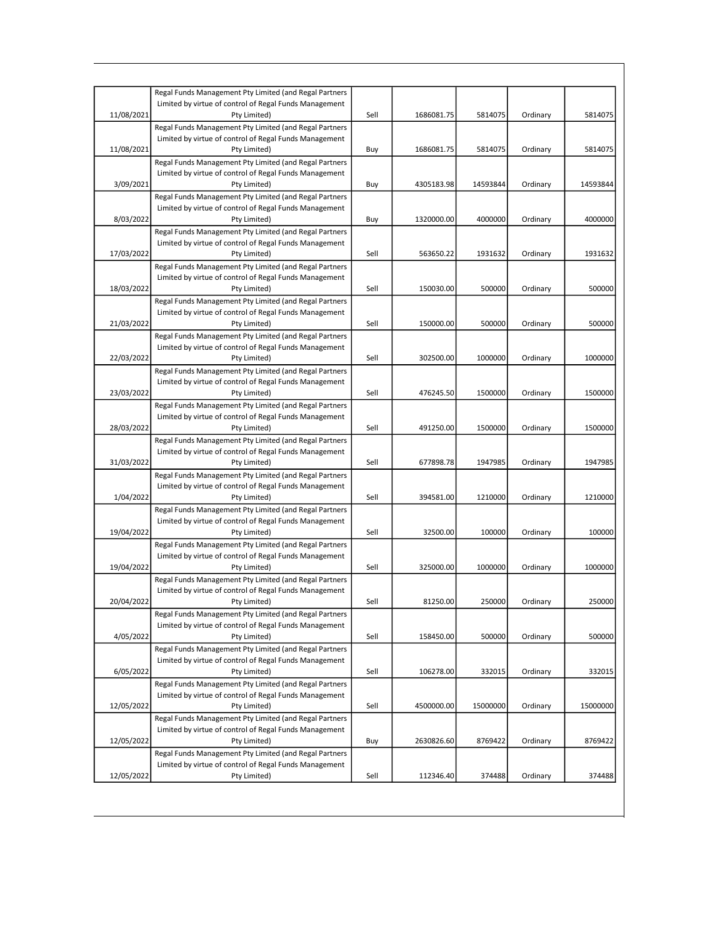|            | Regal Funds Management Pty Limited (and Regal Partners                                                           |      |            |          |          |          |
|------------|------------------------------------------------------------------------------------------------------------------|------|------------|----------|----------|----------|
|            | Limited by virtue of control of Regal Funds Management                                                           |      |            |          |          |          |
| 11/08/2021 | Pty Limited)                                                                                                     | Sell | 1686081.75 | 5814075  | Ordinary | 5814075  |
|            | Regal Funds Management Pty Limited (and Regal Partners<br>Limited by virtue of control of Regal Funds Management |      |            |          |          |          |
| 11/08/2021 | Pty Limited)                                                                                                     | Buy  | 1686081.75 | 5814075  | Ordinary | 5814075  |
|            | Regal Funds Management Pty Limited (and Regal Partners                                                           |      |            |          |          |          |
|            | Limited by virtue of control of Regal Funds Management                                                           |      |            |          |          |          |
| 3/09/2021  | Pty Limited)                                                                                                     | Buy  | 4305183.98 | 14593844 | Ordinary | 14593844 |
|            | Regal Funds Management Pty Limited (and Regal Partners                                                           |      |            |          |          |          |
|            | Limited by virtue of control of Regal Funds Management                                                           |      |            |          |          |          |
| 8/03/2022  | Pty Limited)                                                                                                     | Buy  | 1320000.00 | 4000000  | Ordinary | 4000000  |
|            | Regal Funds Management Pty Limited (and Regal Partners<br>Limited by virtue of control of Regal Funds Management |      |            |          |          |          |
| 17/03/2022 | Pty Limited)                                                                                                     | Sell | 563650.22  | 1931632  | Ordinary | 1931632  |
|            | Regal Funds Management Pty Limited (and Regal Partners                                                           |      |            |          |          |          |
|            | Limited by virtue of control of Regal Funds Management                                                           |      |            |          |          |          |
| 18/03/2022 | Pty Limited)                                                                                                     | Sell | 150030.00  | 500000   | Ordinary | 500000   |
|            | Regal Funds Management Pty Limited (and Regal Partners                                                           |      |            |          |          |          |
|            | Limited by virtue of control of Regal Funds Management                                                           |      |            |          |          |          |
| 21/03/2022 | Pty Limited)                                                                                                     | Sell | 150000.00  | 500000   | Ordinary | 500000   |
|            | Regal Funds Management Pty Limited (and Regal Partners<br>Limited by virtue of control of Regal Funds Management |      |            |          |          |          |
| 22/03/2022 | Pty Limited)                                                                                                     | Sell | 302500.00  | 1000000  | Ordinary | 1000000  |
|            | Regal Funds Management Pty Limited (and Regal Partners                                                           |      |            |          |          |          |
|            | Limited by virtue of control of Regal Funds Management                                                           |      |            |          |          |          |
| 23/03/2022 | Pty Limited)                                                                                                     | Sell | 476245.50  | 1500000  | Ordinary | 1500000  |
|            | Regal Funds Management Pty Limited (and Regal Partners                                                           |      |            |          |          |          |
|            | Limited by virtue of control of Regal Funds Management                                                           |      |            |          |          |          |
| 28/03/2022 | Pty Limited)                                                                                                     | Sell | 491250.00  | 1500000  | Ordinary | 1500000  |
|            | Regal Funds Management Pty Limited (and Regal Partners                                                           |      |            |          |          |          |
| 31/03/2022 | Limited by virtue of control of Regal Funds Management<br>Pty Limited)                                           | Sell | 677898.78  | 1947985  | Ordinary | 1947985  |
|            | Regal Funds Management Pty Limited (and Regal Partners                                                           |      |            |          |          |          |
|            | Limited by virtue of control of Regal Funds Management                                                           |      |            |          |          |          |
| 1/04/2022  | Pty Limited)                                                                                                     | Sell | 394581.00  | 1210000  | Ordinary | 1210000  |
|            | Regal Funds Management Pty Limited (and Regal Partners                                                           |      |            |          |          |          |
|            | Limited by virtue of control of Regal Funds Management                                                           |      |            |          |          |          |
| 19/04/2022 | Pty Limited)                                                                                                     | Sell | 32500.00   | 100000   | Ordinary | 100000   |
|            | Regal Funds Management Pty Limited (and Regal Partners<br>Limited by virtue of control of Regal Funds Management |      |            |          |          |          |
| 19/04/2022 | Pty Limited)                                                                                                     | Sell | 325000.00  | 1000000  | Ordinary | 1000000  |
|            | Regal Funds Management Pty Limited (and Regal Partners                                                           |      |            |          |          |          |
|            | Limited by virtue of control of Regal Funds Management                                                           |      |            |          |          |          |
| 20/04/2022 | Pty Limited)                                                                                                     | Sell | 81250.00   | 250000   | Ordinary | 250000   |
|            | Regal Funds Management Pty Limited (and Regal Partners                                                           |      |            |          |          |          |
|            | Limited by virtue of control of Regal Funds Management                                                           |      |            |          |          |          |
| 4/05/2022  | Pty Limited)                                                                                                     | Sell | 158450.00  | 500000   | Ordinary | 500000   |
|            | Regal Funds Management Pty Limited (and Regal Partners<br>Limited by virtue of control of Regal Funds Management |      |            |          |          |          |
| 6/05/2022  | Pty Limited)                                                                                                     | Sell | 106278.00  | 332015   | Ordinary | 332015   |
|            | Regal Funds Management Pty Limited (and Regal Partners                                                           |      |            |          |          |          |
|            | Limited by virtue of control of Regal Funds Management                                                           |      |            |          |          |          |
| 12/05/2022 | Pty Limited)                                                                                                     | Sell | 4500000.00 | 15000000 | Ordinary | 15000000 |
|            | Regal Funds Management Pty Limited (and Regal Partners                                                           |      |            |          |          |          |
|            | Limited by virtue of control of Regal Funds Management                                                           |      |            |          |          |          |
| 12/05/2022 | Pty Limited)                                                                                                     | Buy  | 2630826.60 | 8769422  | Ordinary | 8769422  |
|            | Regal Funds Management Pty Limited (and Regal Partners<br>Limited by virtue of control of Regal Funds Management |      |            |          |          |          |
| 12/05/2022 | Pty Limited)                                                                                                     | Sell | 112346.40  | 374488   | Ordinary | 374488   |
|            |                                                                                                                  |      |            |          |          |          |